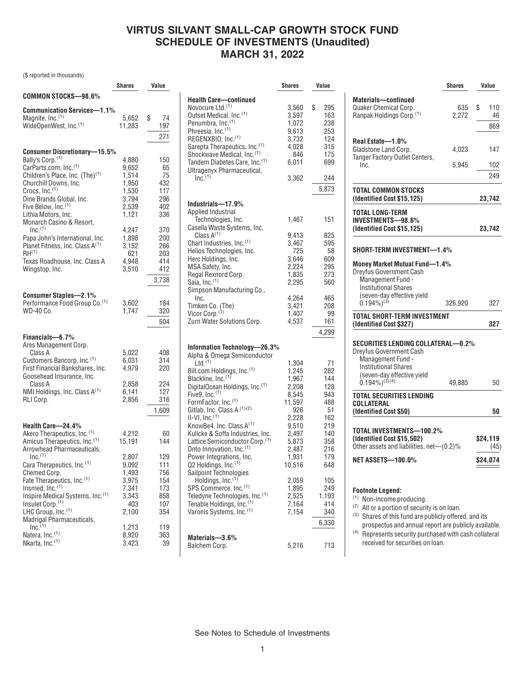## **VIRTUS SILVANT SMALL-CAP GROWTH STOCK FUND SCHEDULE OF INVESTMENTS (Unaudited) MARCH 31, 2022**

**Shares Value**

(\$ reported in thousands)

|                                                                | Shares         | Value      |
|----------------------------------------------------------------|----------------|------------|
| COMMON STOCKS-98.6%                                            |                |            |
| <b>Communication Services-1.1%</b>                             |                |            |
| Magnite, Inc. <sup>(1)</sup>                                   | 5,652          | \$<br>74   |
| WideOpenWest, Inc. <sup>(1)</sup>                              | 11,283         | 197        |
|                                                                |                | 271        |
| <b>Consumer Discretionary-15.5%</b>                            |                |            |
| Bally's Corp. <sup>(1)</sup>                                   | 4,880          | 150        |
| CarParts.com, Inc.(1)                                          | 9,652          | 65         |
| Children's Place, Inc. (The) <sup>(1)</sup>                    | 1,514          | 75         |
| Churchill Downs, Inc.<br>Crocs, Inc. <sup>(1)</sup>            | 1,950          | 432        |
| Dine Brands Global, Inc.                                       | 1,530<br>3,794 | 117<br>296 |
| Five Below, Inc. <sup>(1)</sup>                                | 2,539          | 402        |
| Lithia Motors, Inc.                                            | 1,121          | 336        |
| Monarch Casino & Resort,                                       |                |            |
| $Inc.$ <sup>(1)</sup><br>Papa John's International, Inc.       | 4,247          | 370<br>200 |
| Planet Fitness, Inc. Class A <sup>(1)</sup>                    | 1,898<br>3,152 | 266        |
| $RH^{(1)}$                                                     | 621            | 203        |
| Texas Roadhouse, Inc. Class A                                  | 4,948          | 414        |
| Wingstop, Inc.                                                 | 3,510          | 412        |
|                                                                |                | 3,738      |
| <b>Consumer Staples-2.1%</b>                                   |                |            |
| Performance Food Group Co. <sup>(1)</sup>                      | 3,602          | 184        |
| WD-40 Co.                                                      | 1,747          | 320        |
|                                                                |                | 504        |
| Financials-6.7%                                                |                |            |
| Ares Management Corp.                                          |                |            |
| Class A                                                        | 5,022          | 408        |
| Customers Bancorp, Inc.(1)                                     | 6,031          | 314        |
| First Financial Bankshares, Inc.<br>Goosehead Insurance, Inc.  | 4,979          | 220        |
| Class A                                                        | 2,858          | 224        |
| NMI Holdings, Inc. Class $A^{(1)}$                             | 6,141          | 127        |
| RLI Corp.                                                      | 2,856          | 316        |
|                                                                |                | 1,609      |
| Health Care-24.4%                                              |                |            |
| Akero Therapeutics, Inc.(1)                                    | 4.212          | 60         |
| Amicus Therapeutics, Inc.(1)                                   | 15,191         | 144        |
| Arrowhead Pharmaceuticals,<br>$Inc^{(1)}$                      |                |            |
| Cara Therapeutics, Inc. <sup>(1)</sup>                         | 2,807<br>9,092 | 129<br>111 |
| Chemed Corp.                                                   | 1,493          | 756        |
| Fate Therapeutics, Inc. <sup>(1)</sup>                         | 3,975          | 154        |
| Insmed, Inc. <sup>(1)</sup>                                    | 7,341          | 173        |
| Inspire Medical Systems, Inc.(1)                               | 3,343<br>403   | 858        |
| Insulet Corp. <sup>(1)</sup><br>LHC Group, Inc. <sup>(1)</sup> | 2,100          | 107<br>354 |
| Madrigal Pharmaceuticals,                                      |                |            |
| $Inc.$ <sup>(1)</sup>                                          | 1,213          | 119        |
| Natera, Inc. <sup>(1)</sup><br>Nkarta, Inc. <sup>(1)</sup>     | 8,920<br>3,423 | 363<br>39  |
|                                                                |                |            |

|                                            | ៴៲៲u៲៴៴ | vuluv     |
|--------------------------------------------|---------|-----------|
| <b>Health Care-continued</b>               |         |           |
| Novocure Ltd. <sup>(1)</sup>               |         |           |
|                                            | 3,560   | \$<br>295 |
| Outset Medical, Inc.(1)                    | 3,597   | 163       |
| Penumbra, Inc. <sup>(1)</sup>              | 1,072   | 238       |
| Phreesia, Inc. <sup>(1)</sup>              | 9,613   | 253       |
| REGENXBIO, Inc. <sup>(1)</sup>             | 3,732   | 124       |
| Sarepta Therapeutics, Inc.(1)              | 4,028   | 315       |
| Shockwave Medical, Inc. <sup>(1)</sup>     | 846     | 175       |
|                                            |         |           |
| Tandem Diabetes Care, Inc. <sup>(1)</sup>  | 6,011   | 699       |
| Ultragenyx Pharmaceutical,                 |         |           |
| $Inc^{(1)}$                                | 3,362   | 244       |
|                                            |         | 5,873     |
|                                            |         |           |
|                                            |         |           |
| Industrials-17.9%                          |         |           |
| <b>Applied Industrial</b>                  |         |           |
| Technologies, Inc.                         | 1,467   | 151       |
| Casella Waste Systems, Inc.                |         |           |
| Class $A^{(1)}$                            | 9,413   | 825       |
| Chart Industries, Inc. <sup>(1)</sup>      | 3,467   | 595       |
|                                            | 725     | 58        |
| Helios Technologies, Inc.                  |         |           |
| Herc Holdings, Inc.                        | 3,646   | 609       |
| MSA Safety, Inc.                           | 2,224   | 295       |
| Regal Rexnord Corp.                        | 1,835   | 273       |
| Saia, Inc. <sup>(1)</sup>                  | 2.295   | 560       |
| Simpson Manufacturing Co.,                 |         |           |
| Inc.                                       | 4,264   | 465       |
|                                            | 3,421   |           |
| Timken Co. (The)                           |         | 208       |
| Vicor Corp. <sup>(1)</sup>                 | 1,407   | 99        |
| Zurn Water Solutions Corp.                 | 4,537   | 161       |
|                                            |         | 4,299     |
|                                            |         |           |
|                                            |         |           |
| Information Technology-26.3%               |         |           |
| Alpha & Omega Semiconductor                |         |           |
| Ltd. <sup>(1)</sup>                        | 1,304   | 71        |
| Bill.com Holdings, Inc. <sup>(1)</sup>     | 1,245   | 282       |
| Blackline, Inc. <sup>(1)</sup>             | 1,967   | 144       |
| DigitalOcean Holdings, Inc. <sup>(1)</sup> | 2,208   | 128       |
| Five9, $Inc.$ <sup>(1)</sup>               | 8,545   | 943       |
|                                            |         |           |
| FormFactor, Inc. <sup>(1)</sup>            | 11,597  | 488       |
| Gitlab, Inc. Class A (1)(2)                | 926     | 51        |
| $II-VI, Inc.(1)$                           | 2,228   | 162       |
| KnowBe4, Inc. Class A <sup>(1)</sup>       | 9,510   | 219       |
| Kulicke & Soffa Industries, Inc.           | 2,497   | 140       |
| Lattice Semiconductor Corp. <sup>(1)</sup> | 5,873   | 358       |
| Onto Innovation, Inc. <sup>(1)</sup>       |         | 216       |
|                                            | 2,487   |           |
| Power Integrations, Inc.                   | 1,931   | 179       |
| Q2 Holdings, Inc. <sup>(1)</sup>           | 10,516  | 648       |
| Sailpoint Technologies                     |         |           |
| Holdings, Inc. (''                         | 2,059   | 105       |
| SPS Commerce, Inc.(1)                      | 1,895   | 249       |
| Teledyne Technologies, Inc.(1)             | 2,525   | 1,193     |
|                                            | 7,164   |           |
| Tenable Holdings, Inc. <sup>(1)</sup>      |         | 414       |
| Varonis Systems, Inc. <sup>(1)</sup>       | 7,154   | 340       |
|                                            |         | 6,330     |
|                                            |         |           |
| Materials-3.6%                             |         |           |
| Balchem Corp.                              | 5,216   | 713       |
|                                            |         |           |

|                                                                                             | <b>Shares</b> | Value            |
|---------------------------------------------------------------------------------------------|---------------|------------------|
| <b>Materials-continued</b><br>Quaker Chemical Corp.<br>Ranpak Holdings Corp. <sup>(1)</sup> | 635<br>2,272  | \$<br>110<br>46  |
|                                                                                             |               | 869              |
| Real Estate-1.0%<br>Gladstone Land Corp.                                                    | 4,023         | 147              |
| Tanger Factory Outlet Centers,<br>Inc.                                                      | 5,945         | 102              |
|                                                                                             |               | 249              |
| TOTAL COMMON STOCKS<br>(Identified Cost \$15,125)                                           |               | 23,742           |
| <b>TOTAL LONG-TERM</b><br><b>INVESTMENTS-98.6%</b><br>(Identified Cost \$15,125)            |               | 23,742           |
| <b>SHORT-TERM INVESTMENT-1.4%</b>                                                           |               |                  |
| <b>Money Market Mutual Fund-1.4%</b><br><b>Dreyfus Government Cash</b>                      |               |                  |
| Management Fund -                                                                           |               |                  |
| <b>Institutional Shares</b><br>(seven-day effective yield                                   |               |                  |
| 0.194%) <sup>(3)</sup>                                                                      | 326,920       | 327              |
| <b>TOTAL SHORT-TERM INVESTMENT</b><br>(Identified Cost \$327)                               |               | 327              |
| SECURITIES LENDING COLLATERAL—0.2%                                                          |               |                  |
| Drevfus Government Cash<br>Management Fund -<br><b>Institutional Shares</b>                 |               |                  |
| (seven-day effective yield<br>$(0.194\%)^{(3)(4)}$                                          | 49,885        | 50               |
| <b>TOTAL SECURITIES LENDING</b><br>COLLATERAL                                               |               |                  |
| (Identified Cost \$50)                                                                      |               | 50               |
| TOTAL INVESTMENTS-100.2%                                                                    |               |                  |
| (Identified Cost \$15,502)<br>Other assets and liabilities, net—(0.2)%                      |               | \$24.119<br>(45) |
| <b>NET ASSETS-100.0%</b>                                                                    |               | \$24,074         |
| Footnote Legend:                                                                            |               |                  |

(1) Non-income producing.

(2) All or a portion of security is on loan.

(3) Shares of this fund are publicly offered, and its prospectus and annual report are publicly available.

(4) Represents security purchased with cash collateral received for securities on loan.

See Notes to Schedule of Investments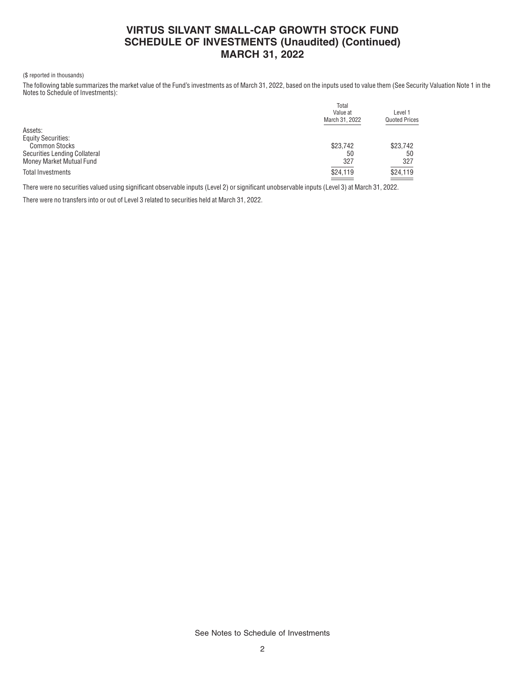# **VIRTUS SILVANT SMALL-CAP GROWTH STOCK FUND SCHEDULE OF INVESTMENTS (Unaudited) (Continued) MARCH 31, 2022**

#### (\$ reported in thousands)

The following table summarizes the market value of the Fund's investments as of March 31, 2022, based on the inputs used to value them (See Security Valuation Note 1 in the Notes to Schedule of Investments):

|                               | Total<br>Value at<br>March 31, 2022 | Level 1<br><b>Quoted Prices</b> |
|-------------------------------|-------------------------------------|---------------------------------|
| Assets:                       |                                     |                                 |
| <b>Equity Securities:</b>     |                                     |                                 |
| <b>Common Stocks</b>          | \$23.742                            | \$23,742                        |
| Securities Lending Collateral | 50                                  | 50                              |
| Money Market Mutual Fund      | 327                                 | 327                             |
| Total Investments             | \$24,119                            | $\frac{$24,119}{2}$             |
|                               | $\sim$ $\sim$                       |                                 |

There were no securities valued using significant observable inputs (Level 2) or significant unobservable inputs (Level 3) at March 31, 2022.

There were no transfers into or out of Level 3 related to securities held at March 31, 2022.

See Notes to Schedule of Investments